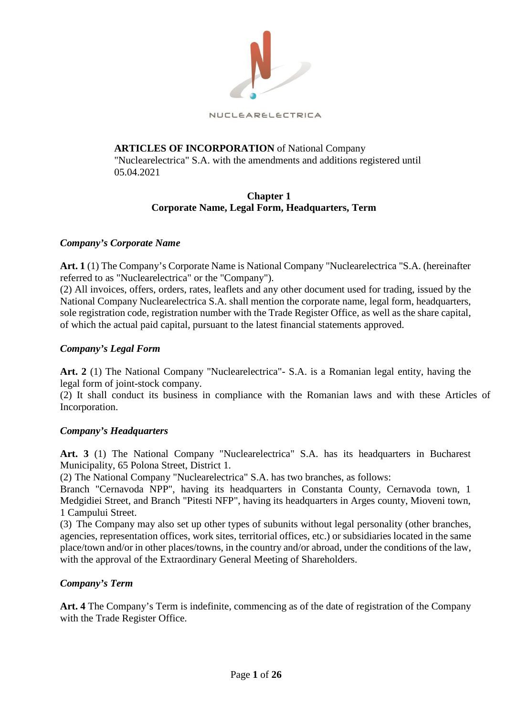

# **ARTICLES OF INCORPORATION** of National Company

"Nuclearelectrica" S.A. with the amendments and additions registered until 05.04.2021

# **Chapter 1 Corporate Name, Legal Form, Headquarters, Term**

## *Company's Corporate Name*

**Art. 1** (1) The Company's Corporate Name is National Company "Nuclearelectrica "S.A. (hereinafter referred to as "Nuclearelectrica" or the "Company").

(2) All invoices, offers, orders, rates, leaflets and any other document used for trading, issued by the National Company Nuclearelectrica S.A. shall mention the corporate name, legal form, headquarters, sole registration code, registration number with the Trade Register Office, as well as the share capital, of which the actual paid capital, pursuant to the latest financial statements approved.

## *Company's Legal Form*

**Art. 2** (1) The National Company "Nuclearelectrica"- S.A. is a Romanian legal entity, having the legal form of joint-stock company.

(2) It shall conduct its business in compliance with the Romanian laws and with these Articles of Incorporation.

## *Company's Headquarters*

**Art. 3** (1) The National Company "Nuclearelectrica" S.A. has its headquarters in Bucharest Municipality, 65 Polona Street, District 1.

(2) The National Company "Nuclearelectrica" S.A. has two branches, as follows:

Branch "Cernavoda NPP", having its headquarters in Constanta County, Cernavoda town, 1 Medgidiei Street, and Branch "Pitesti NFP", having its headquarters in Arges county, Mioveni town, 1 Campului Street.

(3) The Company may also set up other types of subunits without legal personality (other branches, agencies, representation offices, work sites, territorial offices, etc.) or subsidiaries located in the same place/town and/or in other places/towns, in the country and/or abroad, under the conditions of the law, with the approval of the Extraordinary General Meeting of Shareholders.

# *Company's Term*

**Art. 4** The Company's Term is indefinite, commencing as of the date of registration of the Company with the Trade Register Office.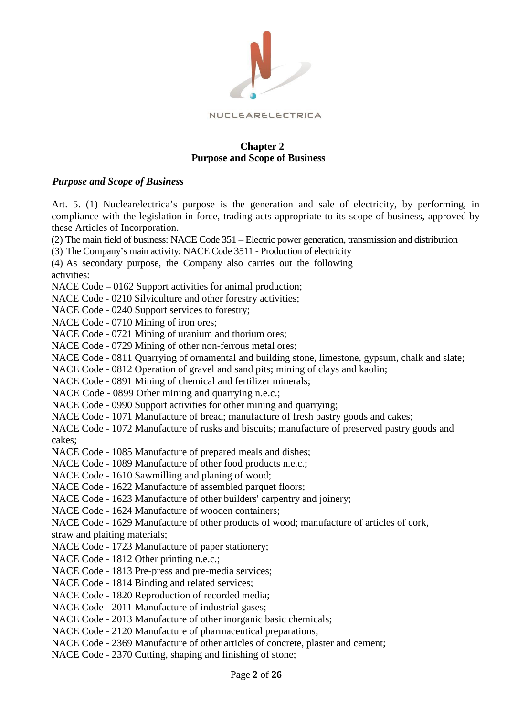

## **Chapter 2 Purpose and Scope of Business**

## *Purpose and Scope of Business*

Art. 5. (1) Nuclearelectrica's purpose is the generation and sale of electricity, by performing, in compliance with the legislation in force, trading acts appropriate to its scope of business, approved by these Articles of Incorporation.

(2) The main field of business: NACE Code 351 – Electric power generation, transmission and distribution

(3) The Company's main activity: NACE Code 3511 - Production of electricity

(4) As secondary purpose, the Company also carries out the following

activities:

NACE Code – 0162 Support activities for animal production;

NACE Code - 0210 Silviculture and other forestry activities;

NACE Code - 0240 Support services to forestry;

NACE Code - 0710 Mining of iron ores;

NACE Code - 0721 Mining of uranium and thorium ores;

NACE Code - 0729 Mining of other non-ferrous metal ores;

NACE Code - 0811 Quarrying of ornamental and building stone, limestone, gypsum, chalk and slate;

NACE Code - 0812 Operation of gravel and sand pits; mining of clays and kaolin;

NACE Code - 0891 Mining of chemical and fertilizer minerals;

NACE Code - 0899 Other mining and quarrying n.e.c.;

NACE Code - 0990 Support activities for other mining and quarrying;

NACE Code - 1071 Manufacture of bread; manufacture of fresh pastry goods and cakes;

NACE Code - 1072 Manufacture of rusks and biscuits; manufacture of preserved pastry goods and cakes;

NACE Code - 1085 Manufacture of prepared meals and dishes;

NACE Code - 1089 Manufacture of other food products n.e.c.;

NACE Code - 1610 Sawmilling and planing of wood;

NACE Code - 1622 Manufacture of assembled parquet floors;

NACE Code - 1623 Manufacture of other builders' carpentry and joinery;

NACE Code - 1624 Manufacture of wooden containers;

NACE Code - 1629 Manufacture of other products of wood; manufacture of articles of cork,

straw and plaiting materials;

NACE Code - 1723 Manufacture of paper stationery;

- NACE Code 1812 Other printing n.e.c.;
- NACE Code 1813 Pre-press and pre-media services;
- NACE Code 1814 Binding and related services;
- NACE Code 1820 Reproduction of recorded media;

NACE Code - 2011 Manufacture of industrial gases;

NACE Code - 2013 Manufacture of other inorganic basic chemicals;

NACE Code - 2120 Manufacture of pharmaceutical preparations;

NACE Code - 2369 Manufacture of other articles of concrete, plaster and cement;

NACE Code - 2370 Cutting, shaping and finishing of stone;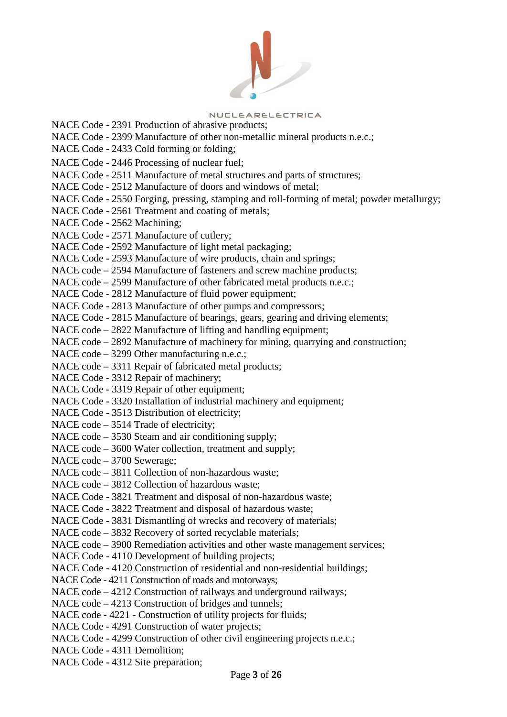

NACE Code - 2391 Production of abrasive products; NACE Code - 2399 Manufacture of other non-metallic mineral products n.e.c.; NACE Code - 2433 Cold forming or folding; NACE Code - 2446 Processing of nuclear fuel; NACE Code - 2511 Manufacture of metal structures and parts of structures; NACE Code - 2512 Manufacture of doors and windows of metal; NACE Code - 2550 Forging, pressing, stamping and roll-forming of metal; powder metallurgy; NACE Code - 2561 Treatment and coating of metals; NACE Code - 2562 Machining; NACE Code - 2571 Manufacture of cutlery; NACE Code - 2592 Manufacture of light metal packaging; NACE Code - 2593 Manufacture of wire products, chain and springs; NACE code – 2594 Manufacture of fasteners and screw machine products; NACE code – 2599 Manufacture of other fabricated metal products n.e.c.; NACE Code - 2812 Manufacture of fluid power equipment; NACE Code - 2813 Manufacture of other pumps and compressors; NACE Code - 2815 Manufacture of bearings, gears, gearing and driving elements; NACE code – 2822 Manufacture of lifting and handling equipment; NACE code – 2892 Manufacture of machinery for mining, quarrying and construction; NACE code – 3299 Other manufacturing n.e.c.; NACE code – 3311 Repair of fabricated metal products; NACE Code - 3312 Repair of machinery; NACE Code - 3319 Repair of other equipment; NACE Code - 3320 Installation of industrial machinery and equipment; NACE Code - 3513 Distribution of electricity; NACE code – 3514 Trade of electricity; NACE code – 3530 Steam and air conditioning supply; NACE code – 3600 Water collection, treatment and supply; NACE code – 3700 Sewerage; NACE code – 3811 Collection of non-hazardous waste; NACE code – 3812 Collection of hazardous waste; NACE Code - 3821 Treatment and disposal of non-hazardous waste; NACE Code - 3822 Treatment and disposal of hazardous waste; NACE Code - 3831 Dismantling of wrecks and recovery of materials; NACE code – 3832 Recovery of sorted recyclable materials; NACE code – 3900 Remediation activities and other waste management services; NACE Code - 4110 Development of building projects; NACE Code - 4120 Construction of residential and non-residential buildings; NACE Code - 4211 Construction of roads and motorways; NACE code – 4212 Construction of railways and underground railways; NACE code – 4213 Construction of bridges and tunnels; NACE code - 4221 - Construction of utility projects for fluids; NACE Code - 4291 Construction of water projects; NACE Code - 4299 Construction of other civil engineering projects n.e.c.; NACE Code - 4311 Demolition; NACE Code - 4312 Site preparation;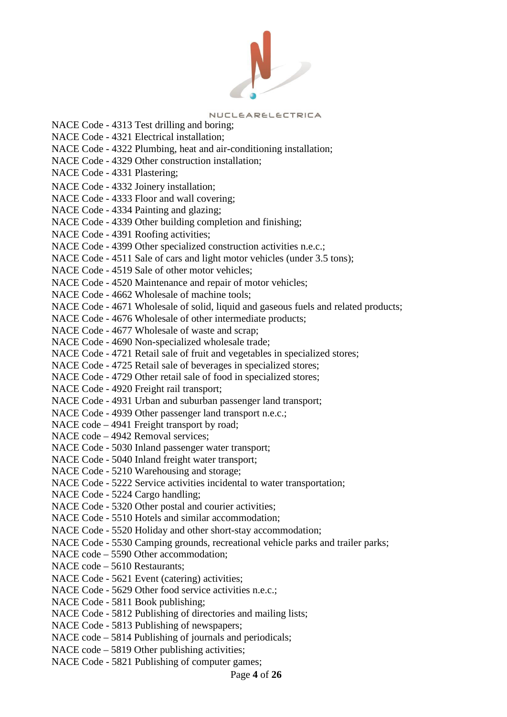

NACE Code - 4313 Test drilling and boring; NACE Code - 4321 Electrical installation; NACE Code - 4322 Plumbing, heat and air-conditioning installation; NACE Code - 4329 Other construction installation; NACE Code - 4331 Plastering; NACE Code - 4332 Joinery installation; NACE Code - 4333 Floor and wall covering; NACE Code - 4334 Painting and glazing; NACE Code - 4339 Other building completion and finishing; NACE Code - 4391 Roofing activities; NACE Code - 4399 Other specialized construction activities n.e.c.; NACE Code - 4511 Sale of cars and light motor vehicles (under 3.5 tons); NACE Code - 4519 Sale of other motor vehicles; NACE Code - 4520 Maintenance and repair of motor vehicles; NACE Code - 4662 Wholesale of machine tools; NACE Code - 4671 Wholesale of solid, liquid and gaseous fuels and related products; NACE Code - 4676 Wholesale of other intermediate products; NACE Code - 4677 Wholesale of waste and scrap; NACE Code - 4690 Non-specialized wholesale trade; NACE Code - 4721 Retail sale of fruit and vegetables in specialized stores; NACE Code - 4725 Retail sale of beverages in specialized stores; NACE Code - 4729 Other retail sale of food in specialized stores; NACE Code - 4920 Freight rail transport; NACE Code - 4931 Urban and suburban passenger land transport; NACE Code - 4939 Other passenger land transport n.e.c.; NACE code – 4941 Freight transport by road; NACE code – 4942 Removal services; NACE Code - 5030 Inland passenger water transport; NACE Code - 5040 Inland freight water transport; NACE Code - 5210 Warehousing and storage; NACE Code - 5222 Service activities incidental to water transportation; NACE Code - 5224 Cargo handling; NACE Code - 5320 Other postal and courier activities; NACE Code - 5510 Hotels and similar accommodation; NACE Code - 5520 Holiday and other short-stay accommodation; NACE Code - 5530 Camping grounds, recreational vehicle parks and trailer parks; NACE code – 5590 Other accommodation; NACE code – 5610 Restaurants; NACE Code - 5621 Event (catering) activities; NACE Code - 5629 Other food service activities n.e.c.; NACE Code - 5811 Book publishing; NACE Code - 5812 Publishing of directories and mailing lists; NACE Code - 5813 Publishing of newspapers; NACE code – 5814 Publishing of journals and periodicals; NACE code – 5819 Other publishing activities; NACE Code - 5821 Publishing of computer games;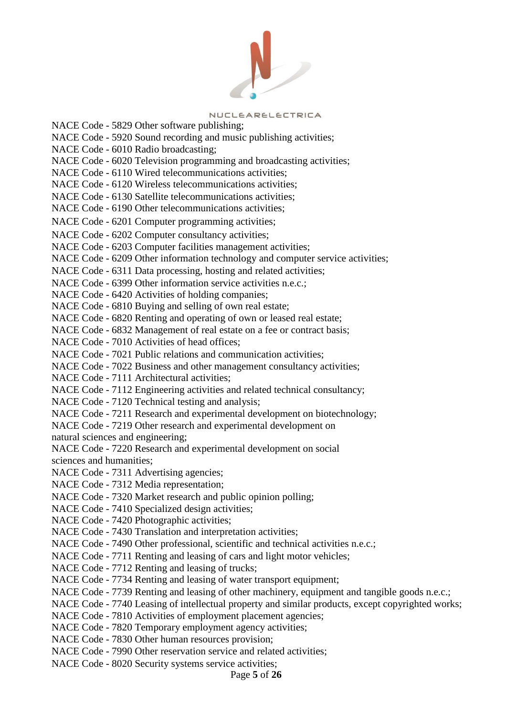

NACE Code - 5829 Other software publishing; NACE Code - 5920 Sound recording and music publishing activities; NACE Code - 6010 Radio broadcasting; NACE Code - 6020 Television programming and broadcasting activities; NACE Code - 6110 Wired telecommunications activities; NACE Code - 6120 Wireless telecommunications activities; NACE Code - 6130 Satellite telecommunications activities; NACE Code - 6190 Other telecommunications activities; NACE Code - 6201 Computer programming activities; NACE Code - 6202 Computer consultancy activities; NACE Code - 6203 Computer facilities management activities; NACE Code - 6209 Other information technology and computer service activities; NACE Code - 6311 Data processing, hosting and related activities; NACE Code - 6399 Other information service activities n.e.c.; NACE Code - 6420 Activities of holding companies; NACE Code - 6810 Buying and selling of own real estate; NACE Code - 6820 Renting and operating of own or leased real estate; NACE Code - 6832 Management of real estate on a fee or contract basis; NACE Code - 7010 Activities of head offices; NACE Code - 7021 Public relations and communication activities; NACE Code - 7022 Business and other management consultancy activities; NACE Code - 7111 Architectural activities; NACE Code - 7112 Engineering activities and related technical consultancy; NACE Code - 7120 Technical testing and analysis; NACE Code - 7211 Research and experimental development on biotechnology; NACE Code - 7219 Other research and experimental development on natural sciences and engineering; NACE Code - 7220 Research and experimental development on social sciences and humanities; NACE Code - 7311 Advertising agencies; NACE Code - 7312 Media representation; NACE Code - 7320 Market research and public opinion polling; NACE Code - 7410 Specialized design activities; NACE Code - 7420 Photographic activities; NACE Code - 7430 Translation and interpretation activities; NACE Code - 7490 Other professional, scientific and technical activities n.e.c.; NACE Code - 7711 Renting and leasing of cars and light motor vehicles; NACE Code - 7712 Renting and leasing of trucks; NACE Code - 7734 Renting and leasing of water transport equipment; NACE Code - 7739 Renting and leasing of other machinery, equipment and tangible goods n.e.c.; NACE Code - 7740 Leasing of intellectual property and similar products, except copyrighted works; NACE Code - 7810 Activities of employment placement agencies; NACE Code - 7820 Temporary employment agency activities; NACE Code - 7830 Other human resources provision; NACE Code - 7990 Other reservation service and related activities; NACE Code - 8020 Security systems service activities;

## Page **5** of **26**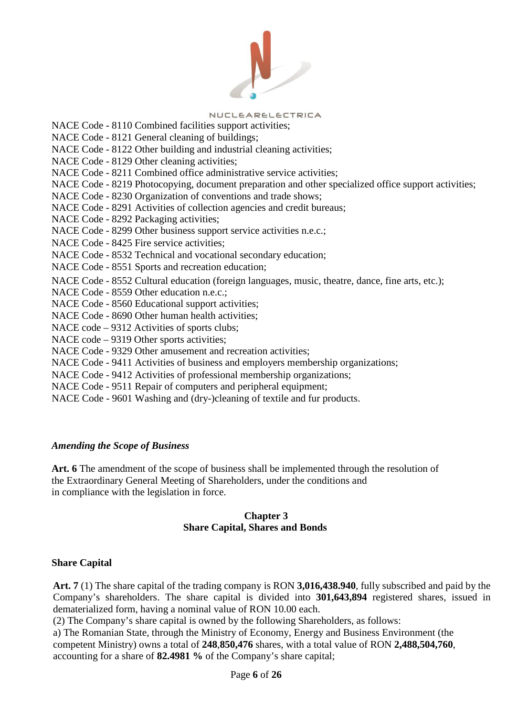

NACE Code - 8110 Combined facilities support activities; NACE Code - 8121 General cleaning of buildings; NACE Code - 8122 Other building and industrial cleaning activities; NACE Code - 8129 Other cleaning activities; NACE Code - 8211 Combined office administrative service activities; NACE Code - 8219 Photocopying, document preparation and other specialized office support activities; NACE Code - 8230 Organization of conventions and trade shows; NACE Code - 8291 Activities of collection agencies and credit bureaus; NACE Code - 8292 Packaging activities; NACE Code - 8299 Other business support service activities n.e.c.; NACE Code - 8425 Fire service activities; NACE Code - 8532 Technical and vocational secondary education; NACE Code - 8551 Sports and recreation education; NACE Code - 8552 Cultural education (foreign languages, music, theatre, dance, fine arts, etc.); NACE Code - 8559 Other education n.e.c.; NACE Code - 8560 Educational support activities; NACE Code - 8690 Other human health activities; NACE code – 9312 Activities of sports clubs; NACE code – 9319 Other sports activities; NACE Code - 9329 Other amusement and recreation activities; NACE Code - 9411 Activities of business and employers membership organizations; NACE Code - 9412 Activities of professional membership organizations;

- NACE Code 9511 Repair of computers and peripheral equipment;
- NACE Code 9601 Washing and (dry-)cleaning of textile and fur products.

## *Amending the Scope of Business*

Art. 6 The amendment of the scope of business shall be implemented through the resolution of the Extraordinary General Meeting of Shareholders, under the conditions and in compliance with the legislation in force.

## **Chapter 3 Share Capital, Shares and Bonds**

## **Share Capital**

**Art. 7** (1) The share capital of the trading company is RON **3,016,438.940**, fully subscribed and paid by the Company's shareholders. The share capital is divided into **301,643,894** registered shares, issued in dematerialized form, having a nominal value of RON 10.00 each.

(2) The Company's share capital is owned by the following Shareholders, as follows:

a) The Romanian State, through the Ministry of Economy, Energy and Business Environment (the competent Ministry) owns a total of **248**,**850,476** shares, with a total value of RON **2,488,504,760**, accounting for a share of **82.4981 %** of the Company's share capital;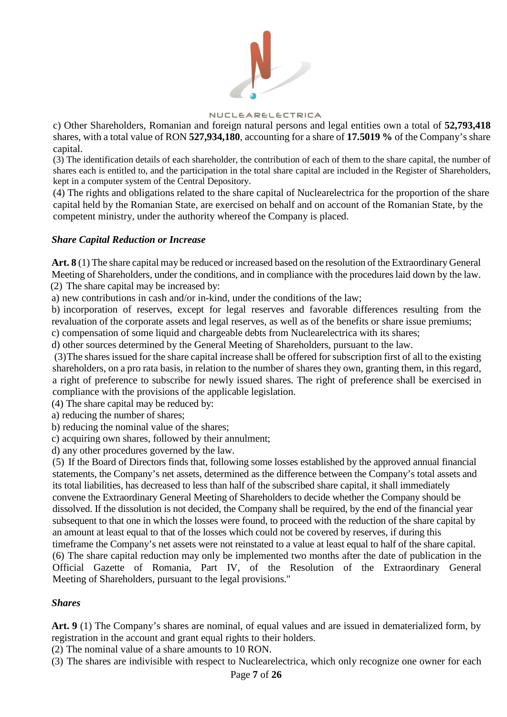

c) Other Shareholders, Romanian and foreign natural persons and legal entities own a total of **52,793,418** shares, with a total value of RON **527,934,180**, accounting for a share of **17.5019 %** of the Company's share capital.

(3) The identification details of each shareholder, the contribution of each of them to the share capital, the number of shares each is entitled to, and the participation in the total share capital are included in the Register of Shareholders, kept in a computer system of the Central Depository.

(4) The rights and obligations related to the share capital of Nuclearelectrica for the proportion of the share capital held by the Romanian State, are exercised on behalf and on account of the Romanian State, by the competent ministry, under the authority whereof the Company is placed.

### *Share Capital Reduction or Increase*

**Art. 8** (1) The share capital may be reduced or increased based on the resolution of the Extraordinary General Meeting of Shareholders, under the conditions, and in compliance with the procedures laid down by the law. (2) The share capital may be increased by:

a) new contributions in cash and/or in-kind, under the conditions of the law;

b) incorporation of reserves, except for legal reserves and favorable differences resulting from the revaluation of the corporate assets and legal reserves, as well as of the benefits or share issue premiums;

c) compensation of some liquid and chargeable debts from Nuclearelectrica with its shares;

d) other sources determined by the General Meeting of Shareholders, pursuant to the law.

(3)The shares issued for the share capital increase shall be offered for subscription first of all to the existing shareholders, on a pro rata basis, in relation to the number of shares they own, granting them, in this regard, a right of preference to subscribe for newly issued shares. The right of preference shall be exercised in compliance with the provisions of the applicable legislation.

(4) The share capital may be reduced by:

a) reducing the number of shares;

b) reducing the nominal value of the shares;

c) acquiring own shares, followed by their annulment;

d) any other procedures governed by the law.

(5) If the Board of Directors finds that, following some losses established by the approved annual financial statements, the Company's net assets, determined as the difference between the Company's total assets and its total liabilities, has decreased to less than half of the subscribed share capital, it shall immediately convene the Extraordinary General Meeting of Shareholders to decide whether the Company should be dissolved. If the dissolution is not decided, the Company shall be required, by the end of the financial year subsequent to that one in which the losses were found, to proceed with the reduction of the share capital by an amount at least equal to that of the losses which could not be covered by reserves, if during this timeframe the Company's net assets were not reinstated to a value at least equal to half of the share capital. (6) The share capital reduction may only be implemented two months after the date of publication in the Official Gazette of Romania, Part IV, of the Resolution of the Extraordinary General Meeting of Shareholders, pursuant to the legal provisions."

## *Shares*

Art. 9 (1) The Company's shares are nominal, of equal values and are issued in dematerialized form, by registration in the account and grant equal rights to their holders.

(2) The nominal value of a share amounts to 10 RON.

(3) The shares are indivisible with respect to Nuclearelectrica, which only recognize one owner for each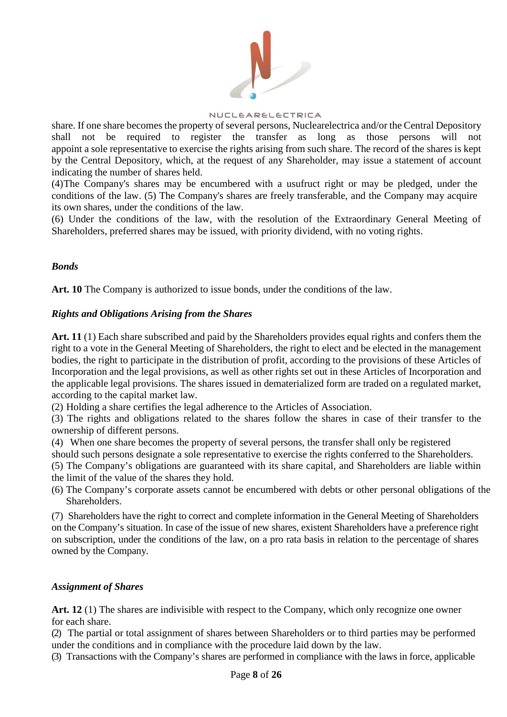

share. If one share becomes the property of several persons, Nuclearelectrica and/or the Central Depository shall not be required to register the transfer as long as those persons will not appoint a sole representative to exercise the rights arising from such share. The record of the shares is kept by the Central Depository, which, at the request of any Shareholder, may issue a statement of account indicating the number of shares held.

(4)The Company's shares may be encumbered with a usufruct right or may be pledged, under the conditions of the law. (5) The Company's shares are freely transferable, and the Company may acquire its own shares, under the conditions of the law.

(6) Under the conditions of the law, with the resolution of the Extraordinary General Meeting of Shareholders, preferred shares may be issued, with priority dividend, with no voting rights.

## *Bonds*

**Art. 10** The Company is authorized to issue bonds, under the conditions of the law.

### *Rights and Obligations Arising from the Shares*

**Art. 11** (1) Each share subscribed and paid by the Shareholders provides equal rights and confers them the right to a vote in the General Meeting of Shareholders, the right to elect and be elected in the management bodies, the right to participate in the distribution of profit, according to the provisions of these Articles of Incorporation and the legal provisions, as well as other rights set out in these Articles of Incorporation and the applicable legal provisions. The shares issued in dematerialized form are traded on a regulated market, according to the capital market law.

(2) Holding a share certifies the legal adherence to the Articles of Association.

(3) The rights and obligations related to the shares follow the shares in case of their transfer to the ownership of different persons.

(4) When one share becomes the property of several persons, the transfer shall only be registered

should such persons designate a sole representative to exercise the rights conferred to the Shareholders. (5) The Company's obligations are guaranteed with its share capital, and Shareholders are liable within the limit of the value of the shares they hold.

(6) The Company's corporate assets cannot be encumbered with debts or other personal obligations of the Shareholders.

(7) Shareholders have the right to correct and complete information in the General Meeting of Shareholders on the Company's situation. In case of the issue of new shares, existent Shareholders have a preference right on subscription, under the conditions of the law, on a pro rata basis in relation to the percentage of shares owned by the Company.

## *Assignment of Shares*

**Art. 12** (1) The shares are indivisible with respect to the Company, which only recognize one owner for each share.

(2) The partial or total assignment of shares between Shareholders or to third parties may be performed under the conditions and in compliance with the procedure laid down by the law.

(3) Transactions with the Company's shares are performed in compliance with the laws in force, applicable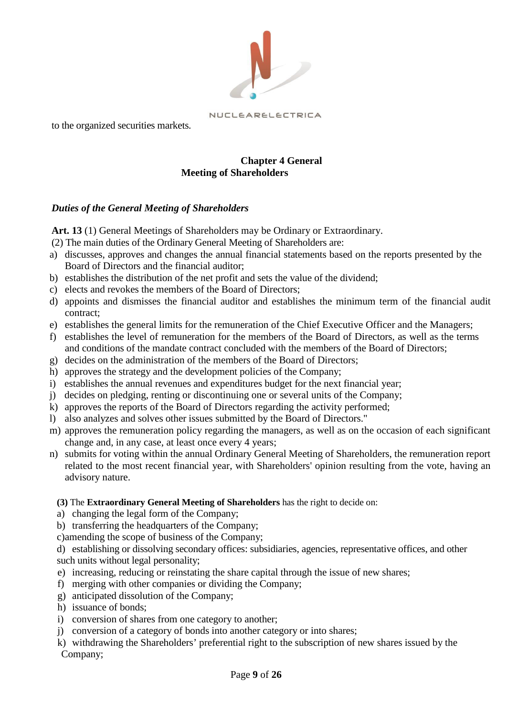

to the organized securities markets.

## **Chapter 4 General Meeting of Shareholders**

# *Duties of the General Meeting of Shareholders*

Art. 13 (1) General Meetings of Shareholders may be Ordinary or Extraordinary.

- (2) The main duties of the Ordinary General Meeting of Shareholders are:
- a) discusses, approves and changes the annual financial statements based on the reports presented by the Board of Directors and the financial auditor;
- b) establishes the distribution of the net profit and sets the value of the dividend;
- c) elects and revokes the members of the Board of Directors;
- d) appoints and dismisses the financial auditor and establishes the minimum term of the financial audit contract;
- e) establishes the general limits for the remuneration of the Chief Executive Officer and the Managers;
- f) establishes the level of remuneration for the members of the Board of Directors, as well as the terms and conditions of the mandate contract concluded with the members of the Board of Directors;
- g) decides on the administration of the members of the Board of Directors;
- h) approves the strategy and the development policies of the Company;
- i) establishes the annual revenues and expenditures budget for the next financial year;
- j) decides on pledging, renting or discontinuing one or several units of the Company;
- k) approves the reports of the Board of Directors regarding the activity performed;
- l) also analyzes and solves other issues submitted by the Board of Directors."
- m) approves the remuneration policy regarding the managers, as well as on the occasion of each significant change and, in any case, at least once every 4 years;
- n) submits for voting within the annual Ordinary General Meeting of Shareholders, the remuneration report related to the most recent financial year, with Shareholders' opinion resulting from the vote, having an advisory nature.

**(3)** The **Extraordinary General Meeting of Shareholders** has the right to decide on:

- a) changing the legal form of the Company;
- b) transferring the headquarters of the Company:
- c)amending the scope of business of the Company;

d) establishing or dissolving secondary offices: subsidiaries, agencies, representative offices, and other such units without legal personality;

- e) increasing, reducing or reinstating the share capital through the issue of new shares;
- f) merging with other companies or dividing the Company;
- g) anticipated dissolution of the Company;
- h) issuance of bonds;
- i) conversion of shares from one category to another;
- j) conversion of a category of bonds into another category or into shares;
- k) withdrawing the Shareholders' preferential right to the subscription of new shares issued by the Company;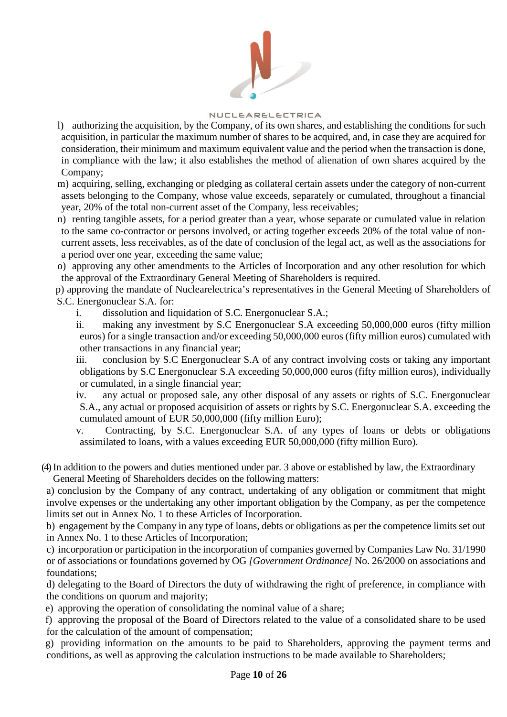

- l) authorizing the acquisition, by the Company, of its own shares, and establishing the conditions for such acquisition, in particular the maximum number of shares to be acquired, and, in case they are acquired for consideration, their minimum and maximum equivalent value and the period when the transaction is done, in compliance with the law; it also establishes the method of alienation of own shares acquired by the Company;
- m) acquiring, selling, exchanging or pledging as collateral certain assets under the category of non-current assets belonging to the Company, whose value exceeds, separately or cumulated, throughout a financial year, 20% of the total non-current asset of the Company, less receivables;
- n) renting tangible assets, for a period greater than a year, whose separate or cumulated value in relation to the same co-contractor or persons involved, or acting together exceeds 20% of the total value of noncurrent assets, less receivables, as of the date of conclusion of the legal act, as well as the associations for a period over one year, exceeding the same value;
- o) approving any other amendments to the Articles of Incorporation and any other resolution for which the approval of the Extraordinary General Meeting of Shareholders is required.
- p) approving the mandate of Nuclearelectrica's representatives in the General Meeting of Shareholders of S.C. Energonuclear S.A. for:
	- i. dissolution and liquidation of S.C. Energonuclear S.A.;
	- ii. making any investment by S.C Energonuclear S.A exceeding 50,000,000 euros (fifty million euros) for a single transaction and/or exceeding 50,000,000 euros (fifty million euros) cumulated with other transactions in any financial year;
	- iii. conclusion by S.C Energonuclear S.A of any contract involving costs or taking any important obligations by S.C Energonuclear S.A exceeding 50,000,000 euros (fifty million euros), individually or cumulated, in a single financial year;
	- iv. any actual or proposed sale, any other disposal of any assets or rights of S.C. Energonuclear S.A., any actual or proposed acquisition of assets or rights by S.C. Energonuclear S.A. exceeding the cumulated amount of EUR 50,000,000 (fifty million Euro);
	- v. Contracting, by S.C. Energonuclear S.A. of any types of loans or debts or obligations assimilated to loans, with a values exceeding EUR 50,000,000 (fifty million Euro).
- (4)In addition to the powers and duties mentioned under par. 3 above or established by law, the Extraordinary General Meeting of Shareholders decides on the following matters:
- a) conclusion by the Company of any contract, undertaking of any obligation or commitment that might involve expenses or the undertaking any other important obligation by the Company, as per the competence limits set out in Annex No. 1 to these Articles of Incorporation.
- b) engagement by the Company in any type of loans, debts or obligations as per the competence limits set out in Annex No. 1 to these Articles of Incorporation;
- c) incorporation or participation in the incorporation of companies governed by Companies Law No. 31/1990 or of associations or foundations governed by OG *[Government Ordinance]* No. 26/2000 on associations and foundations;
- d) delegating to the Board of Directors the duty of withdrawing the right of preference, in compliance with the conditions on quorum and majority;
- e) approving the operation of consolidating the nominal value of a share;
- f) approving the proposal of the Board of Directors related to the value of a consolidated share to be used for the calculation of the amount of compensation;
- g) providing information on the amounts to be paid to Shareholders, approving the payment terms and conditions, as well as approving the calculation instructions to be made available to Shareholders;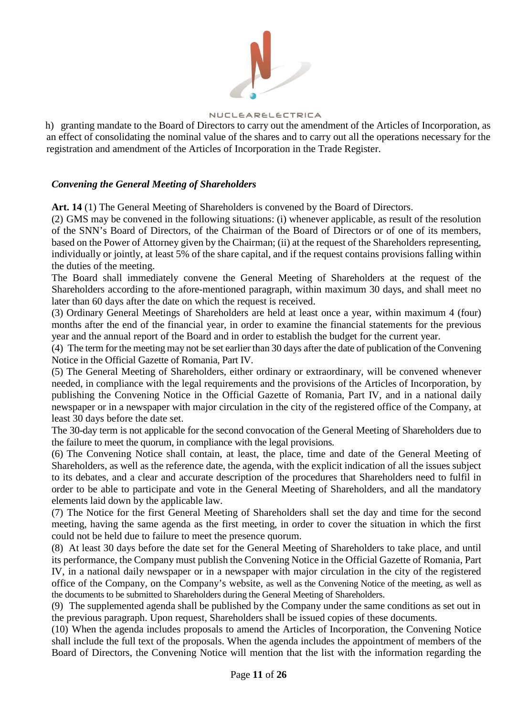

h) granting mandate to the Board of Directors to carry out the amendment of the Articles of Incorporation, as an effect of consolidating the nominal value of the shares and to carry out all the operations necessary for the registration and amendment of the Articles of Incorporation in the Trade Register.

## *Convening the General Meeting of Shareholders*

**Art. 14** (1) The General Meeting of Shareholders is convened by the Board of Directors.

(2) GMS may be convened in the following situations: (i) whenever applicable, as result of the resolution of the SNN's Board of Directors, of the Chairman of the Board of Directors or of one of its members, based on the Power of Attorney given by the Chairman; (ii) at the request of the Shareholders representing, individually or jointly, at least 5% of the share capital, and if the request contains provisions falling within the duties of the meeting.

The Board shall immediately convene the General Meeting of Shareholders at the request of the Shareholders according to the afore-mentioned paragraph, within maximum 30 days, and shall meet no later than 60 days after the date on which the request is received.

(3) Ordinary General Meetings of Shareholders are held at least once a year, within maximum 4 (four) months after the end of the financial year, in order to examine the financial statements for the previous year and the annual report of the Board and in order to establish the budget for the current year.

(4) The term for the meeting may not be set earlier than 30 days after the date of publication of the Convening Notice in the Official Gazette of Romania, Part IV.

(5) The General Meeting of Shareholders, either ordinary or extraordinary, will be convened whenever needed, in compliance with the legal requirements and the provisions of the Articles of Incorporation, by publishing the Convening Notice in the Official Gazette of Romania, Part IV, and in a national daily newspaper or in a newspaper with major circulation in the city of the registered office of the Company, at least 30 days before the date set.

The 30-day term is not applicable for the second convocation of the General Meeting of Shareholders due to the failure to meet the quorum, in compliance with the legal provisions.

(6) The Convening Notice shall contain, at least, the place, time and date of the General Meeting of Shareholders, as well as the reference date, the agenda, with the explicit indication of all the issues subject to its debates, and a clear and accurate description of the procedures that Shareholders need to fulfil in order to be able to participate and vote in the General Meeting of Shareholders, and all the mandatory elements laid down by the applicable law.

(7) The Notice for the first General Meeting of Shareholders shall set the day and time for the second meeting, having the same agenda as the first meeting, in order to cover the situation in which the first could not be held due to failure to meet the presence quorum.

(8) At least 30 days before the date set for the General Meeting of Shareholders to take place, and until its performance, the Company must publish the Convening Notice in the Official Gazette of Romania, Part IV, in a national daily newspaper or in a newspaper with major circulation in the city of the registered office of the Company, on the Company's website, as well as the Convening Notice of the meeting, as well as the documents to be submitted to Shareholders during the General Meeting of Shareholders.

(9) The supplemented agenda shall be published by the Company under the same conditions as set out in the previous paragraph. Upon request, Shareholders shall be issued copies of these documents.

(10) When the agenda includes proposals to amend the Articles of Incorporation, the Convening Notice shall include the full text of the proposals. When the agenda includes the appointment of members of the Board of Directors, the Convening Notice will mention that the list with the information regarding the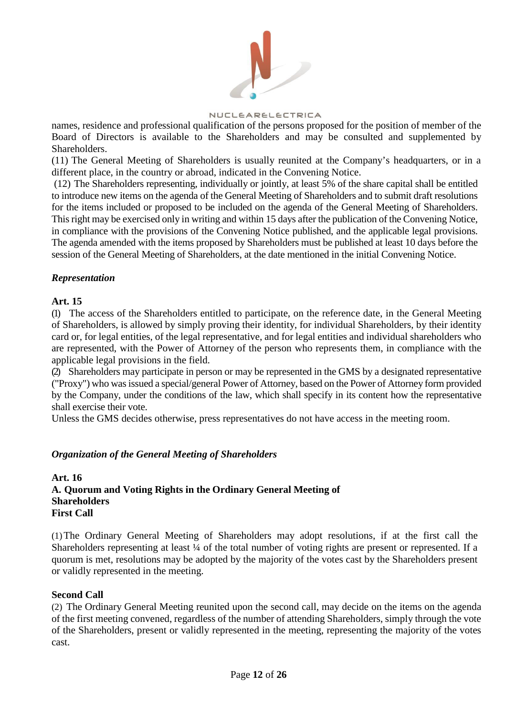

names, residence and professional qualification of the persons proposed for the position of member of the Board of Directors is available to the Shareholders and may be consulted and supplemented by Shareholders.

(11) The General Meeting of Shareholders is usually reunited at the Company's headquarters, or in a different place, in the country or abroad, indicated in the Convening Notice.

(12) The Shareholders representing, individually or jointly, at least 5% of the share capital shall be entitled to introduce new items on the agenda of the General Meeting of Shareholders and to submit draft resolutions for the items included or proposed to be included on the agenda of the General Meeting of Shareholders. This right may be exercised only in writing and within 15 days after the publication of the Convening Notice, in compliance with the provisions of the Convening Notice published, and the applicable legal provisions. The agenda amended with the items proposed by Shareholders must be published at least 10 days before the session of the General Meeting of Shareholders, at the date mentioned in the initial Convening Notice.

## *Representation*

## **Art. 15**

(1) The access of the Shareholders entitled to participate, on the reference date, in the General Meeting of Shareholders, is allowed by simply proving their identity, for individual Shareholders, by their identity card or, for legal entities, of the legal representative, and for legal entities and individual shareholders who are represented, with the Power of Attorney of the person who represents them, in compliance with the applicable legal provisions in the field.

(2) Shareholders may participate in person or may be represented in the GMS by a designated representative ("Proxy") who was issued a special/general Power of Attorney, based on the Power of Attorney form provided by the Company, under the conditions of the law, which shall specify in its content how the representative shall exercise their vote.

Unless the GMS decides otherwise, press representatives do not have access in the meeting room.

## *Organization of the General Meeting of Shareholders*

# **Art. 16 A. Quorum and Voting Rights in the Ordinary General Meeting of Shareholders First Call**

(1)The Ordinary General Meeting of Shareholders may adopt resolutions, if at the first call the Shareholders representing at least 1/4 of the total number of voting rights are present or represented. If a quorum is met, resolutions may be adopted by the majority of the votes cast by the Shareholders present or validly represented in the meeting.

## **Second Call**

(2) The Ordinary General Meeting reunited upon the second call, may decide on the items on the agenda of the first meeting convened, regardless of the number of attending Shareholders, simply through the vote of the Shareholders, present or validly represented in the meeting, representing the majority of the votes cast.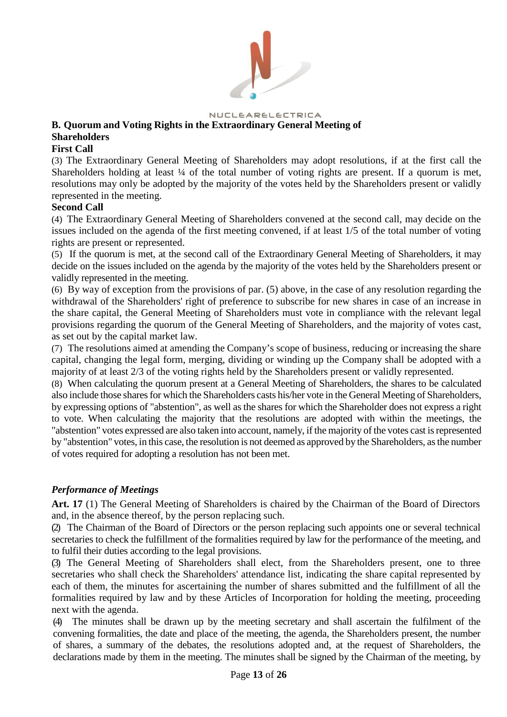

# NUCLEARELECTRICA **B. Quorum and Voting Rights in the Extraordinary General Meeting of Shareholders**

## **First Call**

(3) The Extraordinary General Meeting of Shareholders may adopt resolutions, if at the first call the Shareholders holding at least ¼ of the total number of voting rights are present. If a quorum is met, resolutions may only be adopted by the majority of the votes held by the Shareholders present or validly represented in the meeting.

## **Second Call**

(4) The Extraordinary General Meeting of Shareholders convened at the second call, may decide on the issues included on the agenda of the first meeting convened, if at least 1/5 of the total number of voting rights are present or represented.

(5) If the quorum is met, at the second call of the Extraordinary General Meeting of Shareholders, it may decide on the issues included on the agenda by the majority of the votes held by the Shareholders present or validly represented in the meeting.

(6) By way of exception from the provisions of par. (5) above, in the case of any resolution regarding the withdrawal of the Shareholders' right of preference to subscribe for new shares in case of an increase in the share capital, the General Meeting of Shareholders must vote in compliance with the relevant legal provisions regarding the quorum of the General Meeting of Shareholders, and the majority of votes cast, as set out by the capital market law.

(7) The resolutions aimed at amending the Company's scope of business, reducing or increasing the share capital, changing the legal form, merging, dividing or winding up the Company shall be adopted with a majority of at least 2/3 of the voting rights held by the Shareholders present or validly represented.

(8) When calculating the quorum present at a General Meeting of Shareholders, the shares to be calculated also include those shares for which the Shareholders casts his/her vote in the General Meeting of Shareholders, by expressing options of "abstention", as well as the shares for which the Shareholder does not express a right to vote. When calculating the majority that the resolutions are adopted with within the meetings, the "abstention" votes expressed are also taken into account, namely, if the majority of the votes cast is represented by "abstention" votes, in this case, the resolution is not deemed as approved by the Shareholders, as the number of votes required for adopting a resolution has not been met.

# *Performance of Meetings*

**Art. 17** (1) The General Meeting of Shareholders is chaired by the Chairman of the Board of Directors and, in the absence thereof, by the person replacing such.

(2) The Chairman of the Board of Directors or the person replacing such appoints one or several technical secretaries to check the fulfillment of the formalities required by law for the performance of the meeting, and to fulfil their duties according to the legal provisions.

(3) The General Meeting of Shareholders shall elect, from the Shareholders present, one to three secretaries who shall check the Shareholders' attendance list, indicating the share capital represented by each of them, the minutes for ascertaining the number of shares submitted and the fulfillment of all the formalities required by law and by these Articles of Incorporation for holding the meeting, proceeding next with the agenda.

(4) The minutes shall be drawn up by the meeting secretary and shall ascertain the fulfilment of the convening formalities, the date and place of the meeting, the agenda, the Shareholders present, the number of shares, a summary of the debates, the resolutions adopted and, at the request of Shareholders, the declarations made by them in the meeting. The minutes shall be signed by the Chairman of the meeting, by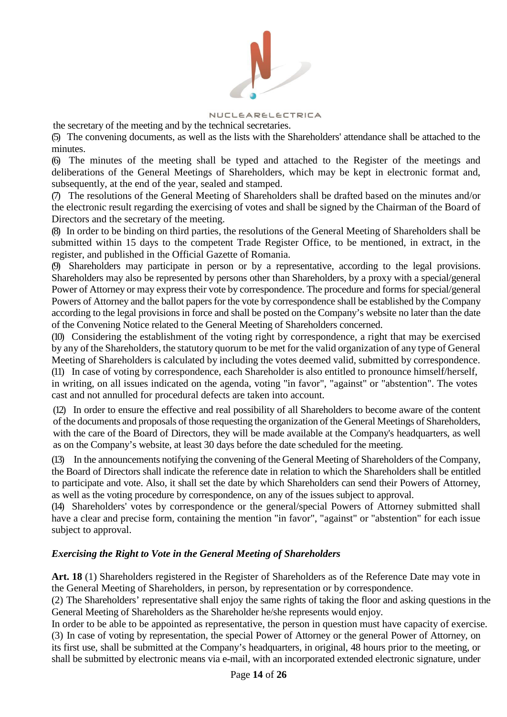

NUCLEARELECTRICA

the secretary of the meeting and by the technical secretaries.

(5) The convening documents, as well as the lists with the Shareholders' attendance shall be attached to the minutes.

(6) The minutes of the meeting shall be typed and attached to the Register of the meetings and deliberations of the General Meetings of Shareholders, which may be kept in electronic format and, subsequently, at the end of the year, sealed and stamped.

(7) The resolutions of the General Meeting of Shareholders shall be drafted based on the minutes and/or the electronic result regarding the exercising of votes and shall be signed by the Chairman of the Board of Directors and the secretary of the meeting.

(8) In order to be binding on third parties, the resolutions of the General Meeting of Shareholders shall be submitted within 15 days to the competent Trade Register Office, to be mentioned, in extract, in the register, and published in the Official Gazette of Romania.

(9) Shareholders may participate in person or by a representative, according to the legal provisions. Shareholders may also be represented by persons other than Shareholders, by a proxy with a special/general Power of Attorney or may express their vote by correspondence. The procedure and forms for special/general Powers of Attorney and the ballot papers for the vote by correspondence shall be established by the Company according to the legal provisions in force and shall be posted on the Company's website no later than the date of the Convening Notice related to the General Meeting of Shareholders concerned.

(10) Considering the establishment of the voting right by correspondence, a right that may be exercised by any of the Shareholders, the statutory quorum to be met for the valid organization of any type of General Meeting of Shareholders is calculated by including the votes deemed valid, submitted by correspondence. (11) In case of voting by correspondence, each Shareholder is also entitled to pronounce himself/herself, in writing, on all issues indicated on the agenda, voting "in favor", "against" or "abstention". The votes cast and not annulled for procedural defects are taken into account.

(12) In order to ensure the effective and real possibility of all Shareholders to become aware of the content of the documents and proposals of those requesting the organization of the General Meetings of Shareholders, with the care of the Board of Directors, they will be made available at the Company's headquarters, as well as on the Company's website, at least 30 days before the date scheduled for the meeting.

(13) In the announcements notifying the convening of the General Meeting of Shareholders of the Company, the Board of Directors shall indicate the reference date in relation to which the Shareholders shall be entitled to participate and vote. Also, it shall set the date by which Shareholders can send their Powers of Attorney, as well as the voting procedure by correspondence, on any of the issues subject to approval.

(14) Shareholders' votes by correspondence or the general/special Powers of Attorney submitted shall have a clear and precise form, containing the mention "in favor", "against" or "abstention" for each issue subject to approval.

# *Exercising the Right to Vote in the General Meeting of Shareholders*

**Art. 18** (1) Shareholders registered in the Register of Shareholders as of the Reference Date may vote in the General Meeting of Shareholders, in person, by representation or by correspondence.

(2) The Shareholders' representative shall enjoy the same rights of taking the floor and asking questions in the General Meeting of Shareholders as the Shareholder he/she represents would enjoy.

In order to be able to be appointed as representative, the person in question must have capacity of exercise. (3) In case of voting by representation, the special Power of Attorney or the general Power of Attorney, on its first use, shall be submitted at the Company's headquarters, in original, 48 hours prior to the meeting, or shall be submitted by electronic means via e-mail, with an incorporated extended electronic signature, under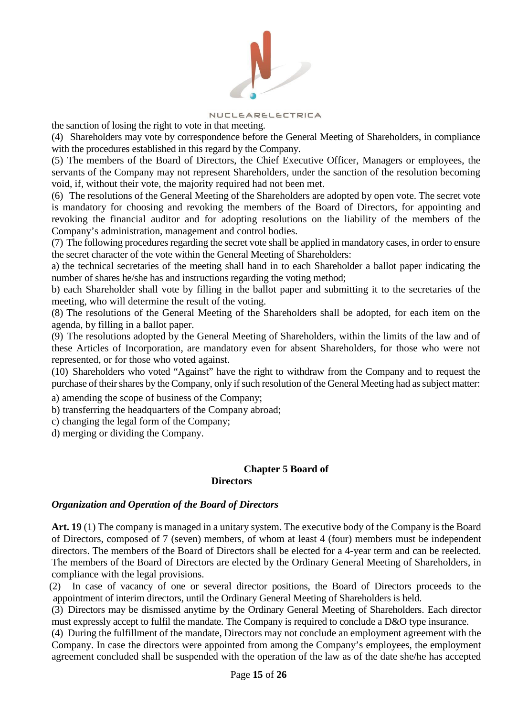

the sanction of losing the right to vote in that meeting.

(4) Shareholders may vote by correspondence before the General Meeting of Shareholders, in compliance with the procedures established in this regard by the Company.

(5) The members of the Board of Directors, the Chief Executive Officer, Managers or employees, the servants of the Company may not represent Shareholders, under the sanction of the resolution becoming void, if, without their vote, the majority required had not been met.

(6) The resolutions of the General Meeting of the Shareholders are adopted by open vote. The secret vote is mandatory for choosing and revoking the members of the Board of Directors, for appointing and revoking the financial auditor and for adopting resolutions on the liability of the members of the Company's administration, management and control bodies.

(7) The following procedures regarding the secret vote shall be applied in mandatory cases, in order to ensure the secret character of the vote within the General Meeting of Shareholders:

a) the technical secretaries of the meeting shall hand in to each Shareholder a ballot paper indicating the number of shares he/she has and instructions regarding the voting method;

b) each Shareholder shall vote by filling in the ballot paper and submitting it to the secretaries of the meeting, who will determine the result of the voting.

(8) The resolutions of the General Meeting of the Shareholders shall be adopted, for each item on the agenda, by filling in a ballot paper.

(9) The resolutions adopted by the General Meeting of Shareholders, within the limits of the law and of these Articles of Incorporation, are mandatory even for absent Shareholders, for those who were not represented, or for those who voted against.

(10) Shareholders who voted "Against" have the right to withdraw from the Company and to request the purchase of their shares by the Company, only if such resolution of the General Meeting had as subject matter:

a) amending the scope of business of the Company;

b) transferring the headquarters of the Company abroad;

c) changing the legal form of the Company;

d) merging or dividing the Company.

#### **Chapter 5 Board of Directors**

## *Organization and Operation of the Board of Directors*

**Art. 19** (1) The company is managed in a unitary system. The executive body of the Company is the Board of Directors, composed of 7 (seven) members, of whom at least 4 (four) members must be independent directors. The members of the Board of Directors shall be elected for a 4-year term and can be reelected. The members of the Board of Directors are elected by the Ordinary General Meeting of Shareholders, in compliance with the legal provisions.

(2) In case of vacancy of one or several director positions, the Board of Directors proceeds to the appointment of interim directors, until the Ordinary General Meeting of Shareholders is held.

(3) Directors may be dismissed anytime by the Ordinary General Meeting of Shareholders. Each director must expressly accept to fulfil the mandate. The Company is required to conclude a D&O type insurance.

(4) During the fulfillment of the mandate, Directors may not conclude an employment agreement with the Company. In case the directors were appointed from among the Company's employees, the employment agreement concluded shall be suspended with the operation of the law as of the date she/he has accepted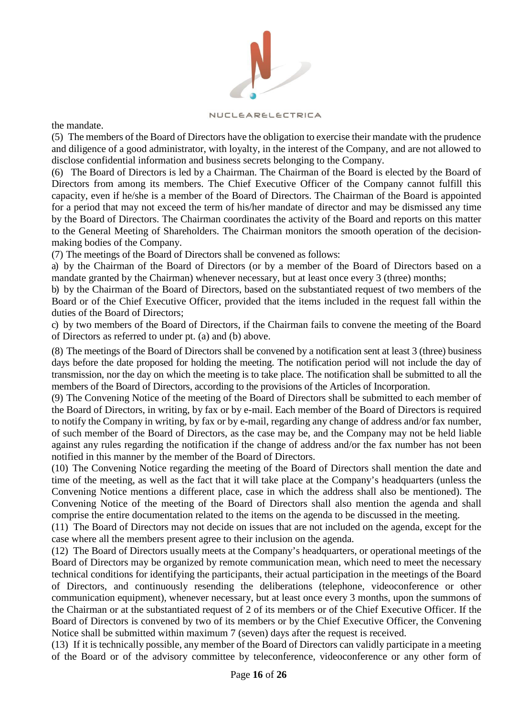

the mandate.

(5) The members of the Board of Directors have the obligation to exercise their mandate with the prudence and diligence of a good administrator, with loyalty, in the interest of the Company, and are not allowed to disclose confidential information and business secrets belonging to the Company.

(6) The Board of Directors is led by a Chairman. The Chairman of the Board is elected by the Board of Directors from among its members. The Chief Executive Officer of the Company cannot fulfill this capacity, even if he/she is a member of the Board of Directors. The Chairman of the Board is appointed for a period that may not exceed the term of his/her mandate of director and may be dismissed any time by the Board of Directors. The Chairman coordinates the activity of the Board and reports on this matter to the General Meeting of Shareholders. The Chairman monitors the smooth operation of the decisionmaking bodies of the Company.

(7) The meetings of the Board of Directors shall be convened as follows:

a) by the Chairman of the Board of Directors (or by a member of the Board of Directors based on a mandate granted by the Chairman) whenever necessary, but at least once every 3 (three) months;

b) by the Chairman of the Board of Directors, based on the substantiated request of two members of the Board or of the Chief Executive Officer, provided that the items included in the request fall within the duties of the Board of Directors;

c) by two members of the Board of Directors, if the Chairman fails to convene the meeting of the Board of Directors as referred to under pt. (a) and (b) above.

(8) The meetings of the Board of Directors shall be convened by a notification sent at least 3 (three) business days before the date proposed for holding the meeting. The notification period will not include the day of transmission, nor the day on which the meeting is to take place. The notification shall be submitted to all the members of the Board of Directors, according to the provisions of the Articles of Incorporation.

(9) The Convening Notice of the meeting of the Board of Directors shall be submitted to each member of the Board of Directors, in writing, by fax or by e-mail. Each member of the Board of Directors is required to notify the Company in writing, by fax or by e-mail, regarding any change of address and/or fax number, of such member of the Board of Directors, as the case may be, and the Company may not be held liable against any rules regarding the notification if the change of address and/or the fax number has not been notified in this manner by the member of the Board of Directors.

(10) The Convening Notice regarding the meeting of the Board of Directors shall mention the date and time of the meeting, as well as the fact that it will take place at the Company's headquarters (unless the Convening Notice mentions a different place, case in which the address shall also be mentioned). The Convening Notice of the meeting of the Board of Directors shall also mention the agenda and shall comprise the entire documentation related to the items on the agenda to be discussed in the meeting.

(11) The Board of Directors may not decide on issues that are not included on the agenda, except for the case where all the members present agree to their inclusion on the agenda.

(12) The Board of Directors usually meets at the Company's headquarters, or operational meetings of the Board of Directors may be organized by remote communication mean, which need to meet the necessary technical conditions for identifying the participants, their actual participation in the meetings of the Board of Directors, and continuously resending the deliberations (telephone, videoconference or other communication equipment), whenever necessary, but at least once every 3 months, upon the summons of the Chairman or at the substantiated request of 2 of its members or of the Chief Executive Officer. If the Board of Directors is convened by two of its members or by the Chief Executive Officer, the Convening Notice shall be submitted within maximum 7 (seven) days after the request is received.

(13) If it is technically possible, any member of the Board of Directors can validly participate in a meeting of the Board or of the advisory committee by teleconference, videoconference or any other form of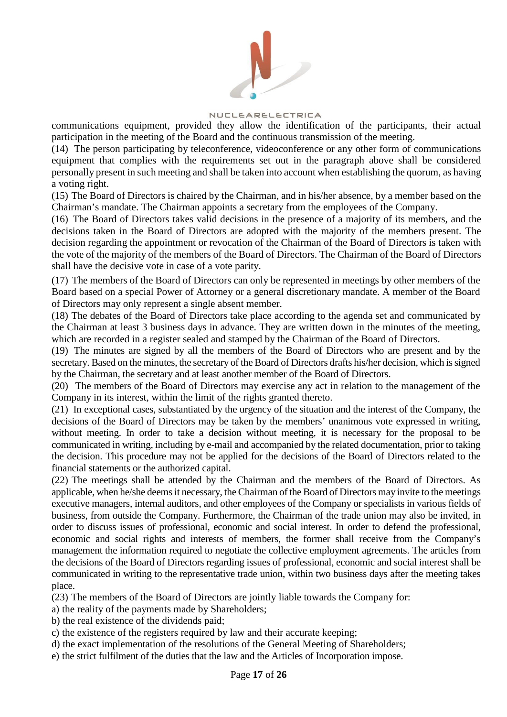

communications equipment, provided they allow the identification of the participants, their actual participation in the meeting of the Board and the continuous transmission of the meeting.

(14) The person participating by teleconference, videoconference or any other form of communications equipment that complies with the requirements set out in the paragraph above shall be considered personally present in such meeting and shall be taken into account when establishing the quorum, as having a voting right.

(15) The Board of Directors is chaired by the Chairman, and in his/her absence, by a member based on the Chairman's mandate. The Chairman appoints a secretary from the employees of the Company.

(16) The Board of Directors takes valid decisions in the presence of a majority of its members, and the decisions taken in the Board of Directors are adopted with the majority of the members present. The decision regarding the appointment or revocation of the Chairman of the Board of Directors is taken with the vote of the majority of the members of the Board of Directors. The Chairman of the Board of Directors shall have the decisive vote in case of a vote parity.

(17) The members of the Board of Directors can only be represented in meetings by other members of the Board based on a special Power of Attorney or a general discretionary mandate. A member of the Board of Directors may only represent a single absent member.

(18) The debates of the Board of Directors take place according to the agenda set and communicated by the Chairman at least 3 business days in advance. They are written down in the minutes of the meeting, which are recorded in a register sealed and stamped by the Chairman of the Board of Directors.

(19) The minutes are signed by all the members of the Board of Directors who are present and by the secretary. Based on the minutes, the secretary of the Board of Directors drafts his/her decision, which is signed by the Chairman, the secretary and at least another member of the Board of Directors.

(20) The members of the Board of Directors may exercise any act in relation to the management of the Company in its interest, within the limit of the rights granted thereto.

(21) In exceptional cases, substantiated by the urgency of the situation and the interest of the Company, the decisions of the Board of Directors may be taken by the members' unanimous vote expressed in writing, without meeting. In order to take a decision without meeting, it is necessary for the proposal to be communicated in writing, including by e-mail and accompanied by the related documentation, prior to taking the decision. This procedure may not be applied for the decisions of the Board of Directors related to the financial statements or the authorized capital.

(22) The meetings shall be attended by the Chairman and the members of the Board of Directors. As applicable, when he/she deems it necessary, the Chairman of the Board of Directors may invite to the meetings executive managers, internal auditors, and other employees of the Company or specialists in various fields of business, from outside the Company. Furthermore, the Chairman of the trade union may also be invited, in order to discuss issues of professional, economic and social interest. In order to defend the professional, economic and social rights and interests of members, the former shall receive from the Company's management the information required to negotiate the collective employment agreements. The articles from the decisions of the Board of Directors regarding issues of professional, economic and social interest shall be communicated in writing to the representative trade union, within two business days after the meeting takes place.

(23) The members of the Board of Directors are jointly liable towards the Company for:

a) the reality of the payments made by Shareholders;

b) the real existence of the dividends paid;

c) the existence of the registers required by law and their accurate keeping;

d) the exact implementation of the resolutions of the General Meeting of Shareholders;

e) the strict fulfilment of the duties that the law and the Articles of Incorporation impose.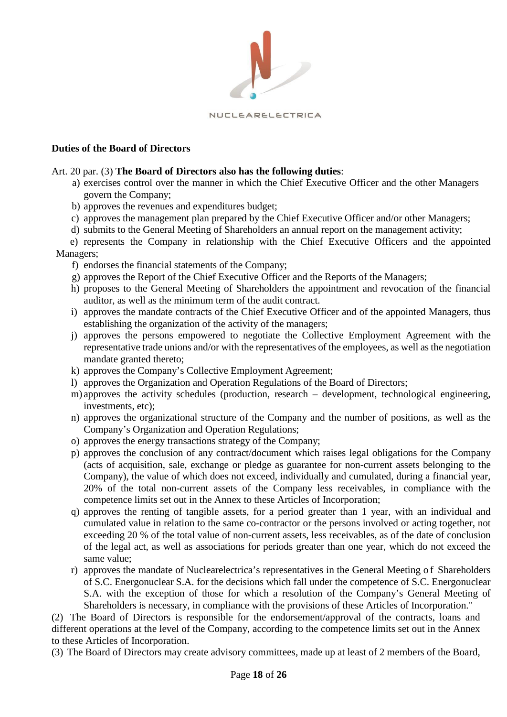

## **Duties of the Board of Directors**

### Art. 20 par. (3) **The Board of Directors also has the following duties**:

- a) exercises control over the manner in which the Chief Executive Officer and the other Managers govern the Company;
- b) approves the revenues and expenditures budget;
- c) approves the management plan prepared by the Chief Executive Officer and/or other Managers;
- d) submits to the General Meeting of Shareholders an annual report on the management activity;
- e) represents the Company in relationship with the Chief Executive Officers and the appointed Managers;
	- f) endorses the financial statements of the Company;
	- g) approves the Report of the Chief Executive Officer and the Reports of the Managers;
	- h) proposes to the General Meeting of Shareholders the appointment and revocation of the financial auditor, as well as the minimum term of the audit contract.
	- i) approves the mandate contracts of the Chief Executive Officer and of the appointed Managers, thus establishing the organization of the activity of the managers;
	- j) approves the persons empowered to negotiate the Collective Employment Agreement with the representative trade unions and/or with the representatives of the employees, as well as the negotiation mandate granted thereto;
	- k) approves the Company's Collective Employment Agreement;
	- l) approves the Organization and Operation Regulations of the Board of Directors;
	- m) approves the activity schedules (production, research development, technological engineering, investments, etc);
	- n) approves the organizational structure of the Company and the number of positions, as well as the Company's Organization and Operation Regulations;
	- o) approves the energy transactions strategy of the Company;
	- p) approves the conclusion of any contract/document which raises legal obligations for the Company (acts of acquisition, sale, exchange or pledge as guarantee for non-current assets belonging to the Company), the value of which does not exceed, individually and cumulated, during a financial year, 20% of the total non-current assets of the Company less receivables, in compliance with the competence limits set out in the Annex to these Articles of Incorporation;
	- q) approves the renting of tangible assets, for a period greater than 1 year, with an individual and cumulated value in relation to the same co-contractor or the persons involved or acting together, not exceeding 20 % of the total value of non-current assets, less receivables, as of the date of conclusion of the legal act, as well as associations for periods greater than one year, which do not exceed the same value;
	- r) approves the mandate of Nuclearelectrica's representatives in the General Meeting of Shareholders of S.C. Energonuclear S.A. for the decisions which fall under the competence of S.C. Energonuclear S.A. with the exception of those for which a resolution of the Company's General Meeting of Shareholders is necessary, in compliance with the provisions of these Articles of Incorporation."

(2) The Board of Directors is responsible for the endorsement/approval of the contracts, loans and different operations at the level of the Company, according to the competence limits set out in the Annex to these Articles of Incorporation.

(3) The Board of Directors may create advisory committees, made up at least of 2 members of the Board,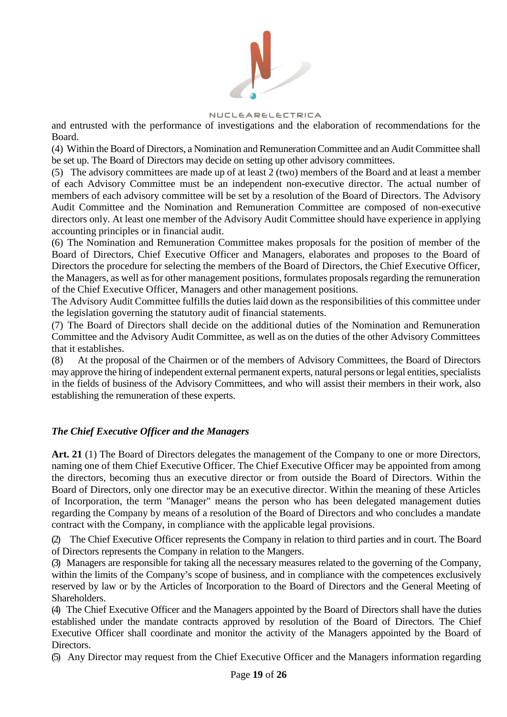

NUCLEARELECTRICA

and entrusted with the performance of investigations and the elaboration of recommendations for the Board.

(4) Within the Board of Directors, a Nomination and Remuneration Committee and an Audit Committee shall be set up. The Board of Directors may decide on setting up other advisory committees.

(5) The advisory committees are made up of at least 2 (two) members of the Board and at least a member of each Advisory Committee must be an independent non-executive director. The actual number of members of each advisory committee will be set by a resolution of the Board of Directors. The Advisory Audit Committee and the Nomination and Remuneration Committee are composed of non-executive directors only. At least one member of the Advisory Audit Committee should have experience in applying accounting principles or in financial audit.

(6) The Nomination and Remuneration Committee makes proposals for the position of member of the Board of Directors, Chief Executive Officer and Managers, elaborates and proposes to the Board of Directors the procedure for selecting the members of the Board of Directors, the Chief Executive Officer, the Managers, as well as for other management positions, formulates proposals regarding the remuneration of the Chief Executive Officer, Managers and other management positions.

The Advisory Audit Committee fulfills the duties laid down as the responsibilities of this committee under the legislation governing the statutory audit of financial statements.

(7) The Board of Directors shall decide on the additional duties of the Nomination and Remuneration Committee and the Advisory Audit Committee, as well as on the duties of the other Advisory Committees that it establishes.

(8) At the proposal of the Chairmen or of the members of Advisory Committees, the Board of Directors may approve the hiring of independent external permanent experts, natural persons or legal entities, specialists in the fields of business of the Advisory Committees, and who will assist their members in their work, also establishing the remuneration of these experts.

# *The Chief Executive Officer and the Managers*

**Art. 21** (1) The Board of Directors delegates the management of the Company to one or more Directors, naming one of them Chief Executive Officer. The Chief Executive Officer may be appointed from among the directors, becoming thus an executive director or from outside the Board of Directors. Within the Board of Directors, only one director may be an executive director. Within the meaning of these Articles of Incorporation, the term "Manager" means the person who has been delegated management duties regarding the Company by means of a resolution of the Board of Directors and who concludes a mandate contract with the Company, in compliance with the applicable legal provisions.

(2) The Chief Executive Officer represents the Company in relation to third parties and in court. The Board of Directors represents the Company in relation to the Mangers.

(3) Managers are responsible for taking all the necessary measures related to the governing of the Company, within the limits of the Company's scope of business, and in compliance with the competences exclusively reserved by law or by the Articles of Incorporation to the Board of Directors and the General Meeting of Shareholders.

(4) The Chief Executive Officer and the Managers appointed by the Board of Directors shall have the duties established under the mandate contracts approved by resolution of the Board of Directors. The Chief Executive Officer shall coordinate and monitor the activity of the Managers appointed by the Board of Directors.

(5) Any Director may request from the Chief Executive Officer and the Managers information regarding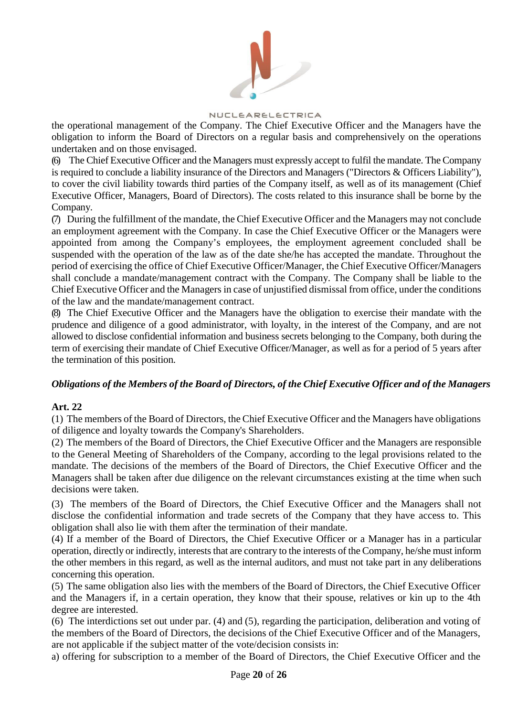

the operational management of the Company. The Chief Executive Officer and the Managers have the obligation to inform the Board of Directors on a regular basis and comprehensively on the operations undertaken and on those envisaged.

(6) The Chief Executive Officer and the Managers must expressly accept to fulfil the mandate. The Company is required to conclude a liability insurance of the Directors and Managers ("Directors & Officers Liability"), to cover the civil liability towards third parties of the Company itself, as well as of its management (Chief Executive Officer, Managers, Board of Directors). The costs related to this insurance shall be borne by the Company.

(7) During the fulfillment of the mandate, the Chief Executive Officer and the Managers may not conclude an employment agreement with the Company. In case the Chief Executive Officer or the Managers were appointed from among the Company's employees, the employment agreement concluded shall be suspended with the operation of the law as of the date she/he has accepted the mandate. Throughout the period of exercising the office of Chief Executive Officer/Manager, the Chief Executive Officer/Managers shall conclude a mandate/management contract with the Company. The Company shall be liable to the Chief Executive Officer and the Managers in case of unjustified dismissal from office, under the conditions of the law and the mandate/management contract.

(8) The Chief Executive Officer and the Managers have the obligation to exercise their mandate with the prudence and diligence of a good administrator, with loyalty, in the interest of the Company, and are not allowed to disclose confidential information and business secrets belonging to the Company, both during the term of exercising their mandate of Chief Executive Officer/Manager, as well as for a period of 5 years after the termination of this position.

## *Obligations of the Members of the Board of Directors, of the Chief Executive Officer and of the Managers*

## **Art. 22**

(1) The members of the Board of Directors, the Chief Executive Officer and the Managers have obligations of diligence and loyalty towards the Company's Shareholders.

(2) The members of the Board of Directors, the Chief Executive Officer and the Managers are responsible to the General Meeting of Shareholders of the Company, according to the legal provisions related to the mandate. The decisions of the members of the Board of Directors, the Chief Executive Officer and the Managers shall be taken after due diligence on the relevant circumstances existing at the time when such decisions were taken.

(3) The members of the Board of Directors, the Chief Executive Officer and the Managers shall not disclose the confidential information and trade secrets of the Company that they have access to. This obligation shall also lie with them after the termination of their mandate.

(4) If a member of the Board of Directors, the Chief Executive Officer or a Manager has in a particular operation, directly or indirectly, interests that are contrary to the interests of the Company, he/she must inform the other members in this regard, as well as the internal auditors, and must not take part in any deliberations concerning this operation.

(5) The same obligation also lies with the members of the Board of Directors, the Chief Executive Officer and the Managers if, in a certain operation, they know that their spouse, relatives or kin up to the 4th degree are interested.

(6) The interdictions set out under par. (4) and (5), regarding the participation, deliberation and voting of the members of the Board of Directors, the decisions of the Chief Executive Officer and of the Managers, are not applicable if the subject matter of the vote/decision consists in:

a) offering for subscription to a member of the Board of Directors, the Chief Executive Officer and the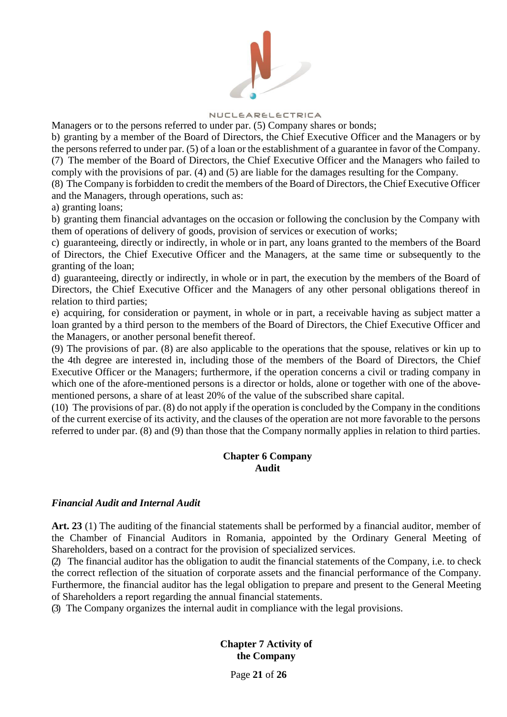

Managers or to the persons referred to under par. (5) Company shares or bonds;

b) granting by a member of the Board of Directors, the Chief Executive Officer and the Managers or by the persons referred to under par. (5) of a loan or the establishment of a guarantee in favor of the Company. (7) The member of the Board of Directors, the Chief Executive Officer and the Managers who failed to comply with the provisions of par. (4) and (5) are liable for the damages resulting for the Company.

(8) The Company is forbidden to credit the members of the Board of Directors, the Chief Executive Officer and the Managers, through operations, such as:

a) granting loans;

b) granting them financial advantages on the occasion or following the conclusion by the Company with them of operations of delivery of goods, provision of services or execution of works;

c) guaranteeing, directly or indirectly, in whole or in part, any loans granted to the members of the Board of Directors, the Chief Executive Officer and the Managers, at the same time or subsequently to the granting of the loan;

d) guaranteeing, directly or indirectly, in whole or in part, the execution by the members of the Board of Directors, the Chief Executive Officer and the Managers of any other personal obligations thereof in relation to third parties;

e) acquiring, for consideration or payment, in whole or in part, a receivable having as subject matter a loan granted by a third person to the members of the Board of Directors, the Chief Executive Officer and the Managers, or another personal benefit thereof.

(9) The provisions of par. (8) are also applicable to the operations that the spouse, relatives or kin up to the 4th degree are interested in, including those of the members of the Board of Directors, the Chief Executive Officer or the Managers; furthermore, if the operation concerns a civil or trading company in which one of the afore-mentioned persons is a director or holds, alone or together with one of the abovementioned persons, a share of at least 20% of the value of the subscribed share capital.

(10) The provisions of par. (8) do not apply if the operation is concluded by the Company in the conditions of the current exercise of its activity, and the clauses of the operation are not more favorable to the persons referred to under par. (8) and (9) than those that the Company normally applies in relation to third parties.

## **Chapter 6 Company Audit**

## *Financial Audit and Internal Audit*

**Art. 23** (1) The auditing of the financial statements shall be performed by a financial auditor, member of the Chamber of Financial Auditors in Romania, appointed by the Ordinary General Meeting of Shareholders, based on a contract for the provision of specialized services.

(2) The financial auditor has the obligation to audit the financial statements of the Company, i.e. to check the correct reflection of the situation of corporate assets and the financial performance of the Company. Furthermore, the financial auditor has the legal obligation to prepare and present to the General Meeting of Shareholders a report regarding the annual financial statements.

(3) The Company organizes the internal audit in compliance with the legal provisions.

**Chapter 7 Activity of the Company**

Page **21** of **26**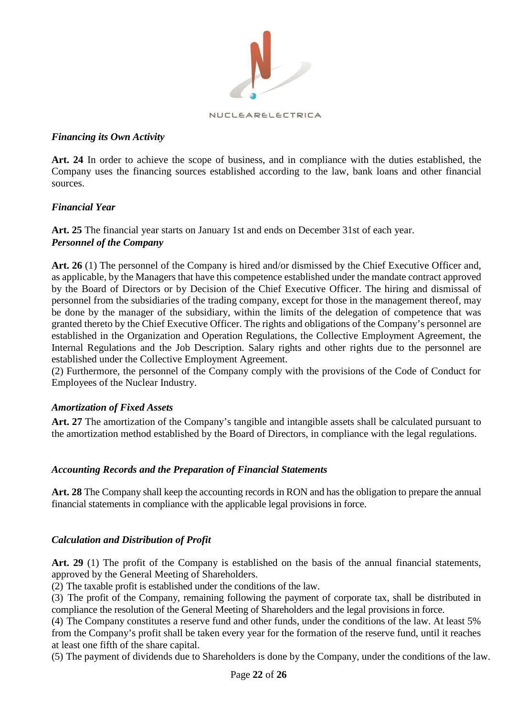

## *Financing its Own Activity*

**Art. 24** In order to achieve the scope of business, and in compliance with the duties established, the Company uses the financing sources established according to the law, bank loans and other financial sources.

# *Financial Year*

**Art. 25** The financial year starts on January 1st and ends on December 31st of each year. *Personnel of the Company*

**Art. 26** (1) The personnel of the Company is hired and/or dismissed by the Chief Executive Officer and, as applicable, by the Managers that have this competence established under the mandate contract approved by the Board of Directors or by Decision of the Chief Executive Officer. The hiring and dismissal of personnel from the subsidiaries of the trading company, except for those in the management thereof, may be done by the manager of the subsidiary, within the limits of the delegation of competence that was granted thereto by the Chief Executive Officer. The rights and obligations of the Company's personnel are established in the Organization and Operation Regulations, the Collective Employment Agreement, the Internal Regulations and the Job Description. Salary rights and other rights due to the personnel are established under the Collective Employment Agreement.

(2) Furthermore, the personnel of the Company comply with the provisions of the Code of Conduct for Employees of the Nuclear Industry.

## *Amortization of Fixed Assets*

Art. 27 The amortization of the Company's tangible and intangible assets shall be calculated pursuant to the amortization method established by the Board of Directors, in compliance with the legal regulations.

## *Accounting Records and the Preparation of Financial Statements*

**Art. 28** The Company shall keep the accounting records in RON and has the obligation to prepare the annual financial statements in compliance with the applicable legal provisions in force.

## *Calculation and Distribution of Profit*

**Art. 29** (1) The profit of the Company is established on the basis of the annual financial statements, approved by the General Meeting of Shareholders.

(2) The taxable profit is established under the conditions of the law.

(3) The profit of the Company, remaining following the payment of corporate tax, shall be distributed in compliance the resolution of the General Meeting of Shareholders and the legal provisions in force.

(4) The Company constitutes a reserve fund and other funds, under the conditions of the law. At least 5% from the Company's profit shall be taken every year for the formation of the reserve fund, until it reaches at least one fifth of the share capital.

(5) The payment of dividends due to Shareholders is done by the Company, under the conditions of the law.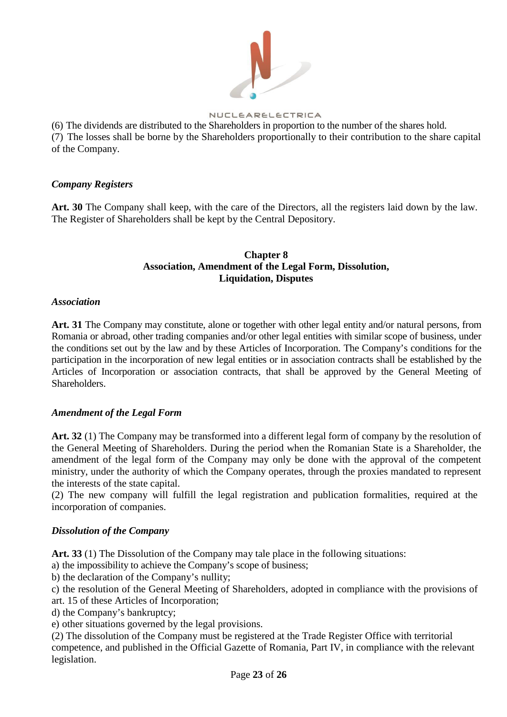

(6) The dividends are distributed to the Shareholders in proportion to the number of the shares hold. (7) The losses shall be borne by the Shareholders proportionally to their contribution to the share capital of the Company.

## *Company Registers*

**Art. 30** The Company shall keep, with the care of the Directors, all the registers laid down by the law. The Register of Shareholders shall be kept by the Central Depository.

# **Chapter 8 Association, Amendment of the Legal Form, Dissolution, Liquidation, Disputes**

## *Association*

**Art. 31** The Company may constitute, alone or together with other legal entity and/or natural persons, from Romania or abroad, other trading companies and/or other legal entities with similar scope of business, under the conditions set out by the law and by these Articles of Incorporation. The Company's conditions for the participation in the incorporation of new legal entities or in association contracts shall be established by the Articles of Incorporation or association contracts, that shall be approved by the General Meeting of Shareholders.

## *Amendment of the Legal Form*

**Art. 32** (1) The Company may be transformed into a different legal form of company by the resolution of the General Meeting of Shareholders. During the period when the Romanian State is a Shareholder, the amendment of the legal form of the Company may only be done with the approval of the competent ministry, under the authority of which the Company operates, through the proxies mandated to represent the interests of the state capital.

(2) The new company will fulfill the legal registration and publication formalities, required at the incorporation of companies.

# *Dissolution of the Company*

**Art. 33** (1) The Dissolution of the Company may tale place in the following situations:

a) the impossibility to achieve the Company's scope of business;

b) the declaration of the Company's nullity;

c) the resolution of the General Meeting of Shareholders, adopted in compliance with the provisions of art. 15 of these Articles of Incorporation;

d) the Company's bankruptcy;

e) other situations governed by the legal provisions.

(2) The dissolution of the Company must be registered at the Trade Register Office with territorial competence, and published in the Official Gazette of Romania, Part IV, in compliance with the relevant legislation.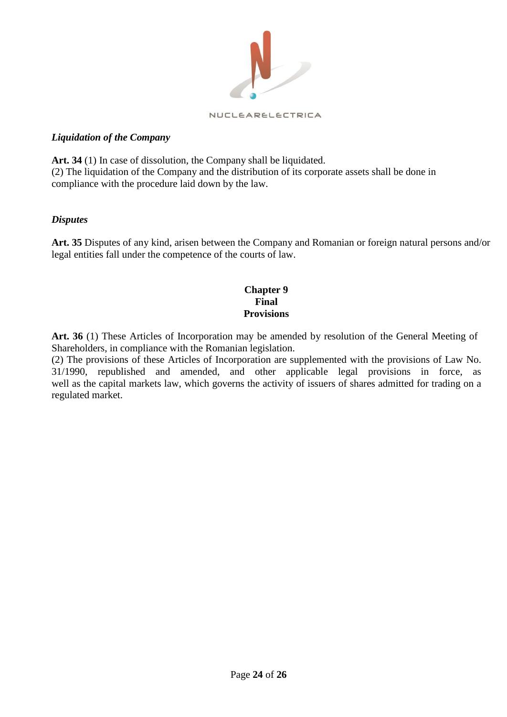

# *Liquidation of the Company*

**Art. 34** (1) In case of dissolution, the Company shall be liquidated. (2) The liquidation of the Company and the distribution of its corporate assets shall be done in compliance with the procedure laid down by the law.

## *Disputes*

**Art. 35** Disputes of any kind, arisen between the Company and Romanian or foreign natural persons and/or legal entities fall under the competence of the courts of law.

## **Chapter 9 Final Provisions**

**Art. 36** (1) These Articles of Incorporation may be amended by resolution of the General Meeting of Shareholders, in compliance with the Romanian legislation.

(2) The provisions of these Articles of Incorporation are supplemented with the provisions of Law No. 31/1990, republished and amended, and other applicable legal provisions in force, as well as the capital markets law, which governs the activity of issuers of shares admitted for trading on a regulated market.